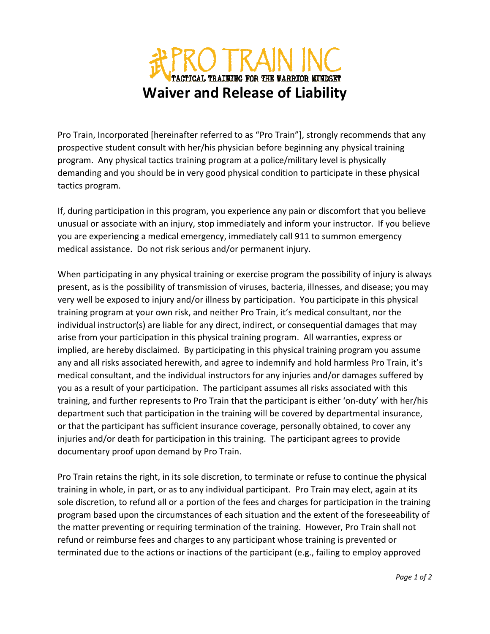## O TRAIN INC TACTICAL TRAINING FOR THE WARRIOR MINDSET **Waiver and Release of Liability**

Pro Train, Incorporated [hereinafter referred to as "Pro Train"], strongly recommends that any prospective student consult with her/his physician before beginning any physical training program. Any physical tactics training program at a police/military level is physically demanding and you should be in very good physical condition to participate in these physical tactics program.

If, during participation in this program, you experience any pain or discomfort that you believe unusual or associate with an injury, stop immediately and inform your instructor. If you believe you are experiencing a medical emergency, immediately call 911 to summon emergency medical assistance. Do not risk serious and/or permanent injury.

When participating in any physical training or exercise program the possibility of injury is always present, as is the possibility of transmission of viruses, bacteria, illnesses, and disease; you may very well be exposed to injury and/or illness by participation. You participate in this physical training program at your own risk, and neither Pro Train, it's medical consultant, nor the individual instructor(s) are liable for any direct, indirect, or consequential damages that may arise from your participation in this physical training program. All warranties, express or implied, are hereby disclaimed. By participating in this physical training program you assume any and all risks associated herewith, and agree to indemnify and hold harmless Pro Train, it's medical consultant, and the individual instructors for any injuries and/or damages suffered by you as a result of your participation. The participant assumes all risks associated with this training, and further represents to Pro Train that the participant is either 'on‐duty' with her/his department such that participation in the training will be covered by departmental insurance, or that the participant has sufficient insurance coverage, personally obtained, to cover any injuries and/or death for participation in this training. The participant agrees to provide documentary proof upon demand by Pro Train.

Pro Train retains the right, in its sole discretion, to terminate or refuse to continue the physical training in whole, in part, or as to any individual participant. Pro Train may elect, again at its sole discretion, to refund all or a portion of the fees and charges for participation in the training program based upon the circumstances of each situation and the extent of the foreseeability of the matter preventing or requiring termination of the training. However, Pro Train shall not refund or reimburse fees and charges to any participant whose training is prevented or terminated due to the actions or inactions of the participant (e.g., failing to employ approved